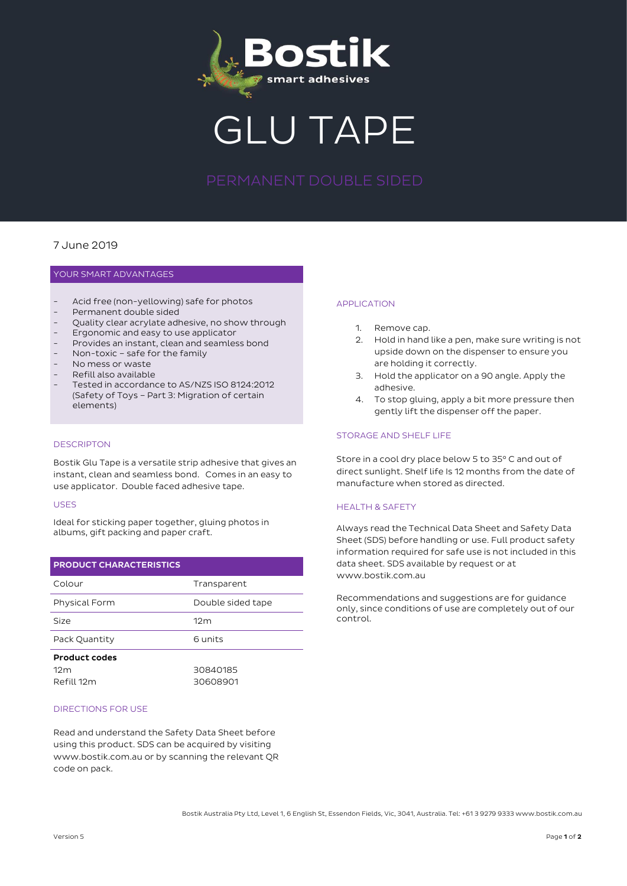

GLU TAPE

# 7 June 2019

# YOUR SMART ADVANTAGES

- Acid free (non-yellowing) safe for photos
- Permanent double sided
- Quality clear acrylate adhesive, no show through
- Ergonomic and easy to use applicator
- Provides an instant, clean and seamless bond
- Non-toxic safe for the family
- No mess or waste
- Refill also available
- Tested in accordance to AS/NZS ISO 8124:2012 (Safety of Toys – Part 3: Migration of certain elements)

## **DESCRIPTON**

Bostik Glu Tape is a versatile strip adhesive that gives an instant, clean and seamless bond. Comes in an easy to use applicator. Double faced adhesive tape.

#### USES

Ideal for sticking paper together, gluing photos in albums, gift packing and paper craft.

| <b>PRODUCT CHARACTERISTICS</b> |                   |
|--------------------------------|-------------------|
| Colour                         | Transparent       |
| Physical Form                  | Double sided tape |
| Size                           | 12 <sub>m</sub>   |
| Pack Quantity                  | 6 units           |
| <b>Product codes</b>           |                   |
| 12m                            | 30840185          |
| Refill 12m                     | 30608901          |

#### DIRECTIONS FOR USE

Read and understand the Safety Data Sheet before using this product. SDS can be acquired by visiting www.bostik.com.au or by scanning the relevant QR code on pack.

#### APPLICATION

- 1. Remove cap.
- 2. Hold in hand like a pen, make sure writing is not upside down on the dispenser to ensure you are holding it correctly.
- 3. Hold the applicator on a 90 angle. Apply the adhesive.
- 4. To stop gluing, apply a bit more pressure then gently lift the dispenser off the paper.

### STORAGE AND SHELF LIFE

Store in a cool dry place below 5 to 35° C and out of direct sunlight. Shelf life Is 12 months from the date of manufacture when stored as directed.

### HEALTH & SAFETY

Always read the Technical Data Sheet and Safety Data Sheet (SDS) before handling or use. Full product safety information required for safe use is not included in this data sheet. SDS available by request or at www.bostik.com.au

Recommendations and suggestions are for guidance only, since conditions of use are completely out of our control.